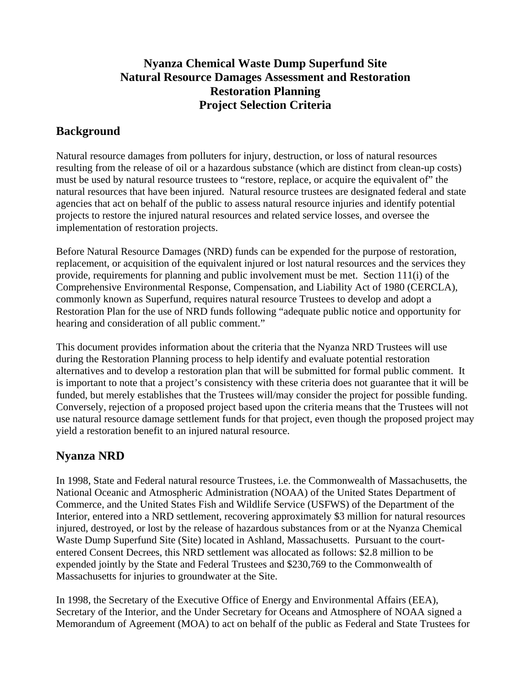## **Nyanza Chemical Waste Dump Superfund Site Natural Resource Damages Assessment and Restoration Restoration Planning Project Selection Criteria**

## **Background**

Natural resource damages from polluters for injury, destruction, or loss of natural resources resulting from the release of oil or a hazardous substance (which are distinct from clean-up costs) must be used by natural resource trustees to "restore, replace, or acquire the equivalent of" the natural resources that have been injured. Natural resource trustees are designated federal and state agencies that act on behalf of the public to assess natural resource injuries and identify potential projects to restore the injured natural resources and related service losses, and oversee the implementation of restoration projects.

Before Natural Resource Damages (NRD) funds can be expended for the purpose of restoration, replacement, or acquisition of the equivalent injured or lost natural resources and the services they provide, requirements for planning and public involvement must be met. Section 111(i) of the Comprehensive Environmental Response, Compensation, and Liability Act of 1980 (CERCLA), commonly known as Superfund, requires natural resource Trustees to develop and adopt a Restoration Plan for the use of NRD funds following "adequate public notice and opportunity for hearing and consideration of all public comment."

This document provides information about the criteria that the Nyanza NRD Trustees will use during the Restoration Planning process to help identify and evaluate potential restoration alternatives and to develop a restoration plan that will be submitted for formal public comment. It is important to note that a project's consistency with these criteria does not guarantee that it will be funded, but merely establishes that the Trustees will/may consider the project for possible funding. Conversely, rejection of a proposed project based upon the criteria means that the Trustees will not use natural resource damage settlement funds for that project, even though the proposed project may yield a restoration benefit to an injured natural resource.

## **Nyanza NRD**

In 1998, State and Federal natural resource Trustees, i.e. the Commonwealth of Massachusetts, the National Oceanic and Atmospheric Administration (NOAA) of the United States Department of Commerce, and the United States Fish and Wildlife Service (USFWS) of the Department of the Interior, entered into a NRD settlement, recovering approximately \$3 million for natural resources injured, destroyed, or lost by the release of hazardous substances from or at the Nyanza Chemical Waste Dump Superfund Site (Site) located in Ashland, Massachusetts. Pursuant to the courtentered Consent Decrees, this NRD settlement was allocated as follows: \$2.8 million to be expended jointly by the State and Federal Trustees and \$230,769 to the Commonwealth of Massachusetts for injuries to groundwater at the Site.

In 1998, the Secretary of the Executive Office of Energy and Environmental Affairs (EEA), Secretary of the Interior, and the Under Secretary for Oceans and Atmosphere of NOAA signed a Memorandum of Agreement (MOA) to act on behalf of the public as Federal and State Trustees for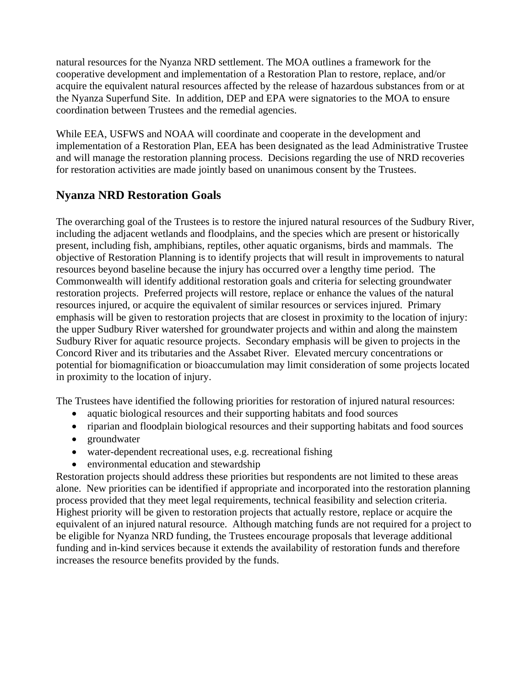natural resources for the Nyanza NRD settlement. The MOA outlines a framework for the cooperative development and implementation of a Restoration Plan to restore, replace, and/or acquire the equivalent natural resources affected by the release of hazardous substances from or at the Nyanza Superfund Site. In addition, DEP and EPA were signatories to the MOA to ensure coordination between Trustees and the remedial agencies.

While EEA, USFWS and NOAA will coordinate and cooperate in the development and implementation of a Restoration Plan, EEA has been designated as the lead Administrative Trustee and will manage the restoration planning process. Decisions regarding the use of NRD recoveries for restoration activities are made jointly based on unanimous consent by the Trustees.

## **Nyanza NRD Restoration Goals**

The overarching goal of the Trustees is to restore the injured natural resources of the Sudbury River, including the adjacent wetlands and floodplains, and the species which are present or historically present, including fish, amphibians, reptiles, other aquatic organisms, birds and mammals. The objective of Restoration Planning is to identify projects that will result in improvements to natural resources beyond baseline because the injury has occurred over a lengthy time period. The Commonwealth will identify additional restoration goals and criteria for selecting groundwater restoration projects. Preferred projects will restore, replace or enhance the values of the natural resources injured, or acquire the equivalent of similar resources or services injured. Primary emphasis will be given to restoration projects that are closest in proximity to the location of injury: the upper Sudbury River watershed for groundwater projects and within and along the mainstem Sudbury River for aquatic resource projects. Secondary emphasis will be given to projects in the Concord River and its tributaries and the Assabet River. Elevated mercury concentrations or potential for biomagnification or bioaccumulation may limit consideration of some projects located in proximity to the location of injury.

The Trustees have identified the following priorities for restoration of injured natural resources:

- aquatic biological resources and their supporting habitats and food sources
- riparian and floodplain biological resources and their supporting habitats and food sources
- groundwater
- water-dependent recreational uses, e.g. recreational fishing
- environmental education and stewardship

Restoration projects should address these priorities but respondents are not limited to these areas alone. New priorities can be identified if appropriate and incorporated into the restoration planning process provided that they meet legal requirements, technical feasibility and selection criteria. Highest priority will be given to restoration projects that actually restore, replace or acquire the equivalent of an injured natural resource. Although matching funds are not required for a project to be eligible for Nyanza NRD funding, the Trustees encourage proposals that leverage additional funding and in-kind services because it extends the availability of restoration funds and therefore increases the resource benefits provided by the funds.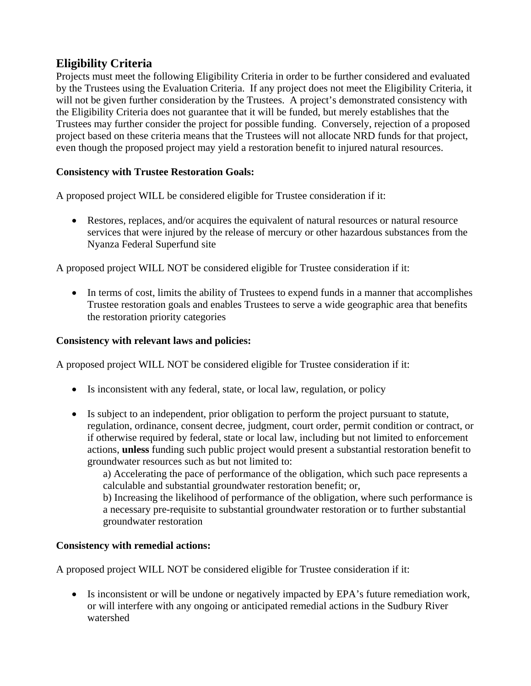# **Eligibility Criteria**

Projects must meet the following Eligibility Criteria in order to be further considered and evaluated by the Trustees using the Evaluation Criteria. If any project does not meet the Eligibility Criteria, it will not be given further consideration by the Trustees. A project's demonstrated consistency with the Eligibility Criteria does not guarantee that it will be funded, but merely establishes that the Trustees may further consider the project for possible funding. Conversely, rejection of a proposed project based on these criteria means that the Trustees will not allocate NRD funds for that project, even though the proposed project may yield a restoration benefit to injured natural resources.

### **Consistency with Trustee Restoration Goals:**

A proposed project WILL be considered eligible for Trustee consideration if it:

• Restores, replaces, and/or acquires the equivalent of natural resources or natural resource services that were injured by the release of mercury or other hazardous substances from the Nyanza Federal Superfund site

A proposed project WILL NOT be considered eligible for Trustee consideration if it:

• In terms of cost, limits the ability of Trustees to expend funds in a manner that accomplishes Trustee restoration goals and enables Trustees to serve a wide geographic area that benefits the restoration priority categories

#### **Consistency with relevant laws and policies:**

A proposed project WILL NOT be considered eligible for Trustee consideration if it:

- Is inconsistent with any federal, state, or local law, regulation, or policy
- Is subject to an independent, prior obligation to perform the project pursuant to statute, regulation, ordinance, consent decree, judgment, court order, permit condition or contract, or if otherwise required by federal, state or local law, including but not limited to enforcement actions, **unless** funding such public project would present a substantial restoration benefit to groundwater resources such as but not limited to:

a) Accelerating the pace of performance of the obligation, which such pace represents a calculable and substantial groundwater restoration benefit; or,

b) Increasing the likelihood of performance of the obligation, where such performance is a necessary pre-requisite to substantial groundwater restoration or to further substantial groundwater restoration

#### **Consistency with remedial actions:**

A proposed project WILL NOT be considered eligible for Trustee consideration if it:

• Is inconsistent or will be undone or negatively impacted by EPA's future remediation work, or will interfere with any ongoing or anticipated remedial actions in the Sudbury River watershed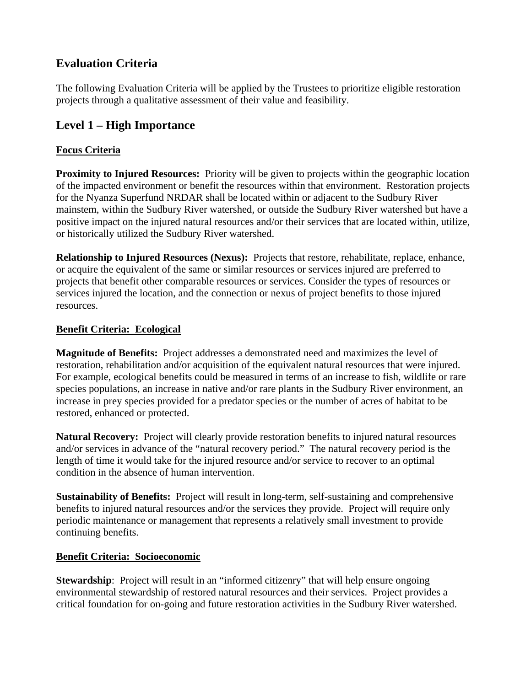# **Evaluation Criteria**

The following Evaluation Criteria will be applied by the Trustees to prioritize eligible restoration projects through a qualitative assessment of their value and feasibility.

# **Level 1 – High Importance**

### **Focus Criteria**

**Proximity to Injured Resources:** Priority will be given to projects within the geographic location of the impacted environment or benefit the resources within that environment. Restoration projects for the Nyanza Superfund NRDAR shall be located within or adjacent to the Sudbury River mainstem, within the Sudbury River watershed, or outside the Sudbury River watershed but have a positive impact on the injured natural resources and/or their services that are located within, utilize, or historically utilized the Sudbury River watershed.

**Relationship to Injured Resources (Nexus):** Projects that restore, rehabilitate, replace, enhance, or acquire the equivalent of the same or similar resources or services injured are preferred to projects that benefit other comparable resources or services. Consider the types of resources or services injured the location, and the connection or nexus of project benefits to those injured resources.

### **Benefit Criteria: Ecological**

**Magnitude of Benefits:** Project addresses a demonstrated need and maximizes the level of restoration, rehabilitation and/or acquisition of the equivalent natural resources that were injured. For example, ecological benefits could be measured in terms of an increase to fish, wildlife or rare species populations, an increase in native and/or rare plants in the Sudbury River environment, an increase in prey species provided for a predator species or the number of acres of habitat to be restored, enhanced or protected.

**Natural Recovery:** Project will clearly provide restoration benefits to injured natural resources and/or services in advance of the "natural recovery period." The natural recovery period is the length of time it would take for the injured resource and/or service to recover to an optimal condition in the absence of human intervention.

**Sustainability of Benefits:** Project will result in long-term, self-sustaining and comprehensive benefits to injured natural resources and/or the services they provide. Project will require only periodic maintenance or management that represents a relatively small investment to provide continuing benefits.

### **Benefit Criteria: Socioeconomic**

**Stewardship**: Project will result in an "informed citizenry" that will help ensure ongoing environmental stewardship of restored natural resources and their services. Project provides a critical foundation for on-going and future restoration activities in the Sudbury River watershed.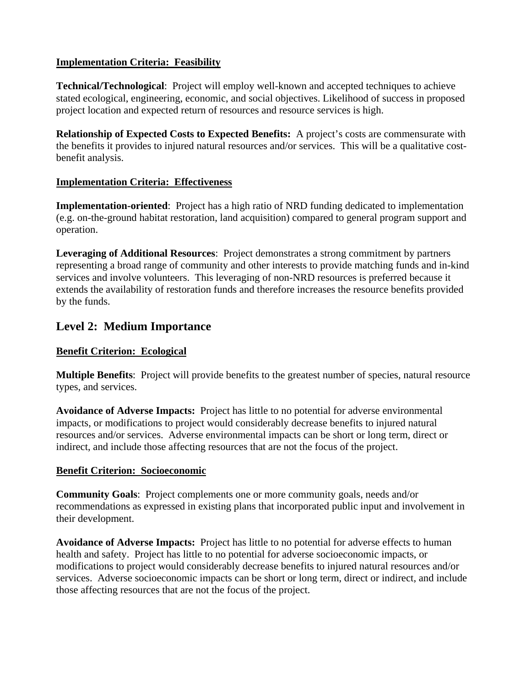### **Implementation Criteria: Feasibility**

**Technical/Technological**: Project will employ well-known and accepted techniques to achieve stated ecological, engineering, economic, and social objectives. Likelihood of success in proposed project location and expected return of resources and resource services is high.

**Relationship of Expected Costs to Expected Benefits:** A project's costs are commensurate with the benefits it provides to injured natural resources and/or services. This will be a qualitative costbenefit analysis.

#### **Implementation Criteria: Effectiveness**

**Implementation-oriented**: Project has a high ratio of NRD funding dedicated to implementation (e.g. on-the-ground habitat restoration, land acquisition) compared to general program support and operation.

**Leveraging of Additional Resources**: Project demonstrates a strong commitment by partners representing a broad range of community and other interests to provide matching funds and in-kind services and involve volunteers. This leveraging of non-NRD resources is preferred because it extends the availability of restoration funds and therefore increases the resource benefits provided by the funds.

### **Level 2: Medium Importance**

#### **Benefit Criterion: Ecological**

**Multiple Benefits**: Project will provide benefits to the greatest number of species, natural resource types, and services.

**Avoidance of Adverse Impacts:** Project has little to no potential for adverse environmental impacts, or modifications to project would considerably decrease benefits to injured natural resources and/or services. Adverse environmental impacts can be short or long term, direct or indirect, and include those affecting resources that are not the focus of the project.

#### **Benefit Criterion: Socioeconomic**

**Community Goals**: Project complements one or more community goals, needs and/or recommendations as expressed in existing plans that incorporated public input and involvement in their development.

**Avoidance of Adverse Impacts:** Project has little to no potential for adverse effects to human health and safety. Project has little to no potential for adverse socioeconomic impacts, or modifications to project would considerably decrease benefits to injured natural resources and/or services. Adverse socioeconomic impacts can be short or long term, direct or indirect, and include those affecting resources that are not the focus of the project.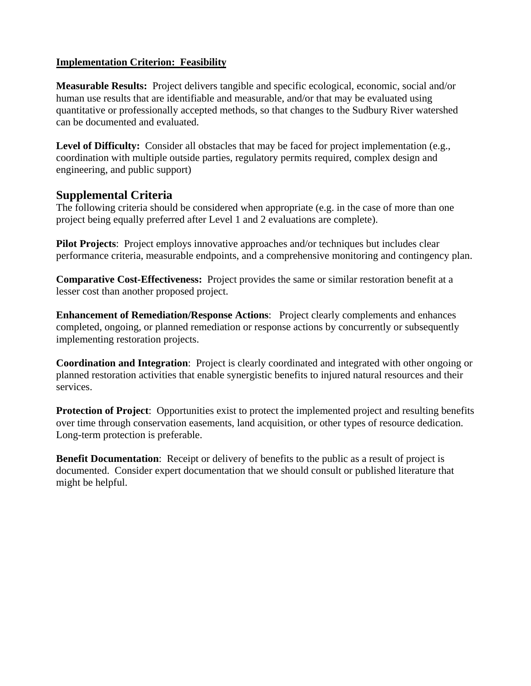#### **Implementation Criterion: Feasibility**

**Measurable Results:** Project delivers tangible and specific ecological, economic, social and/or human use results that are identifiable and measurable, and/or that may be evaluated using quantitative or professionally accepted methods, so that changes to the Sudbury River watershed can be documented and evaluated.

**Level of Difficulty:** Consider all obstacles that may be faced for project implementation (e.g., coordination with multiple outside parties, regulatory permits required, complex design and engineering, and public support)

### **Supplemental Criteria**

The following criteria should be considered when appropriate (e.g. in the case of more than one project being equally preferred after Level 1 and 2 evaluations are complete).

**Pilot Projects**: Project employs innovative approaches and/or techniques but includes clear performance criteria, measurable endpoints, and a comprehensive monitoring and contingency plan.

**Comparative Cost-Effectiveness:** Project provides the same or similar restoration benefit at a lesser cost than another proposed project.

**Enhancement of Remediation/Response Actions**: Project clearly complements and enhances completed, ongoing, or planned remediation or response actions by concurrently or subsequently implementing restoration projects.

**Coordination and Integration**: Project is clearly coordinated and integrated with other ongoing or planned restoration activities that enable synergistic benefits to injured natural resources and their services.

**Protection of Project**: Opportunities exist to protect the implemented project and resulting benefits over time through conservation easements, land acquisition, or other types of resource dedication. Long-term protection is preferable.

**Benefit Documentation**: Receipt or delivery of benefits to the public as a result of project is documented. Consider expert documentation that we should consult or published literature that might be helpful.